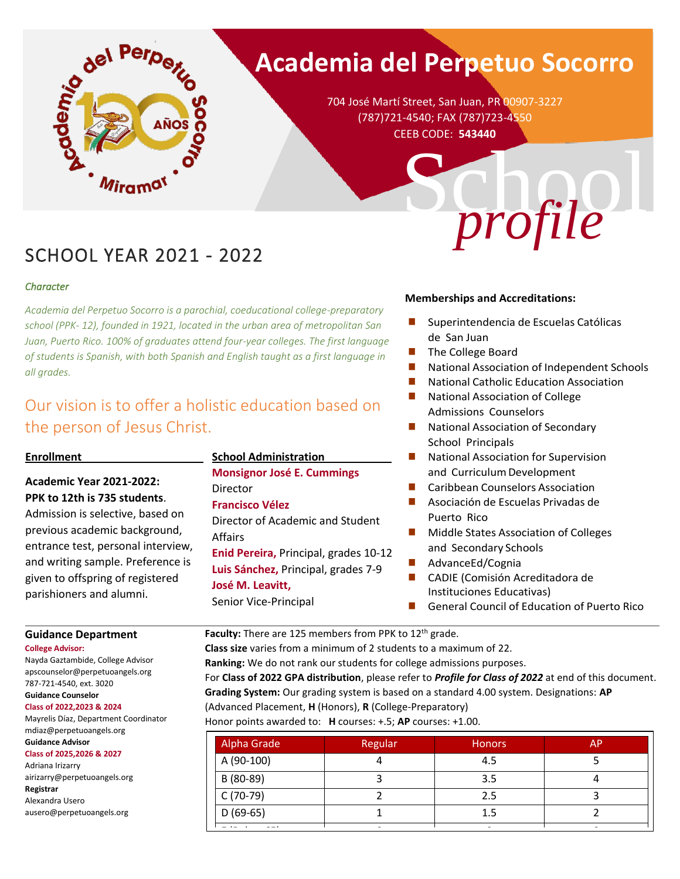

# **Academia del Perpetuo Socorro**

704 José Martí Street, San Juan, PR 00907-3227 (787)721-4540; FAX (787)723-4550 CEEB CODE: **543440**

## SCHOOL YEAR 2021 - 2022

#### *Character*

*Academia del Perpetuo Socorro is a parochial, coeducational college-preparatory school (PPK- 12), founded in 1921, located in the urban area of metropolitan San Juan, Puerto Rico. 100% of graduates attend four-year colleges. The first language of students is Spanish, with both Spanish and English taught as a first language in all grades.*

### Our vision is to offer a holistic education based on the person of Jesus Christ.

#### **Enrollment**\_\_\_\_\_\_\_\_\_\_\_\_\_\_\_\_\_\_\_\_

#### **Academic Year 2021-2022: PPK to 12th is 735 students**.

Admission is selective, based on previous academic background, entrance test, personal interview, and writing sample. Preference is given to offspring of registered parishioners and alumni.

#### **School Administration**\_\_\_\_\_\_\_\_\_\_\_

**Monsignor José E. Cummings** Director **Francisco Vélez** Director of Academic and Student Affairs **Enid Pereira,** Principal, grades 10-12 **Luis Sánchez,** Principal, grades 7-9 **José M. Leavitt,**  Senior Vice-Principal

#### **Memberships and Accreditations:**

- Superintendencia de Escuelas Católicas de San Juan
- The College Board
- National Association of Independent Schools

School

- National Catholic Education Association
- National Association of College Admissions Counselors
- National Association of Secondary School Principals
- National Association for Supervision and Curriculum Development
- Caribbean Counselors Association
- Asociación de Escuelas Privadas de Puerto Rico
- Middle States Association of Colleges and Secondary Schools
- ◼ AdvanceEd/Cognia
- CADIE (Comisión Acreditadora de Instituciones Educativas)
- ◼ General Council of Education of Puerto Rico

**Guidance Department**

**College Advisor:**

Nayda Gaztambide, College Advisor apscounselor@perpetuoangels.org 787-721-4540, ext. 3020 **Guidance Counselor**

#### **Class of 2022,2023 & 2024**

Mayrelis Díaz, Department Coordinator mdiaz@perpetuoangels.org **Guidance Advisor**

#### **Class of 2025,2026 & 2027**

Adriana Irizarry airizarry@perpetuoangels.org **Registrar**  Alexandra Usero ausero@perpetuoangels.org

Faculty: There are 125 members from PPK to 12<sup>th</sup> grade.

**Class size** varies from a minimum of 2 students to a maximum of 22. **Ranking:** We do not rank our students for college admissions purposes. For **Class of 2022 GPA distribution**, please refer to *Profile for Class of 2022* at end of this document. **Grading System:** Our grading system is based on a standard 4.00 system. Designations: **AP** (Advanced Placement, **H** (Honors), **R** (College-Preparatory)

Honor points awarded to: **H** courses: +.5; **AP** courses: +1.00.

| Alpha Grade                | Regular | <b>Honors</b> | AP |
|----------------------------|---------|---------------|----|
| A (90-100)                 |         | 4.5           |    |
| B (80-89)                  |         | 3.5           |    |
| C (70-79)                  |         | 2.5           |    |
| $D(69-65)$                 |         | 1.5           |    |
| the company of the company |         |               |    |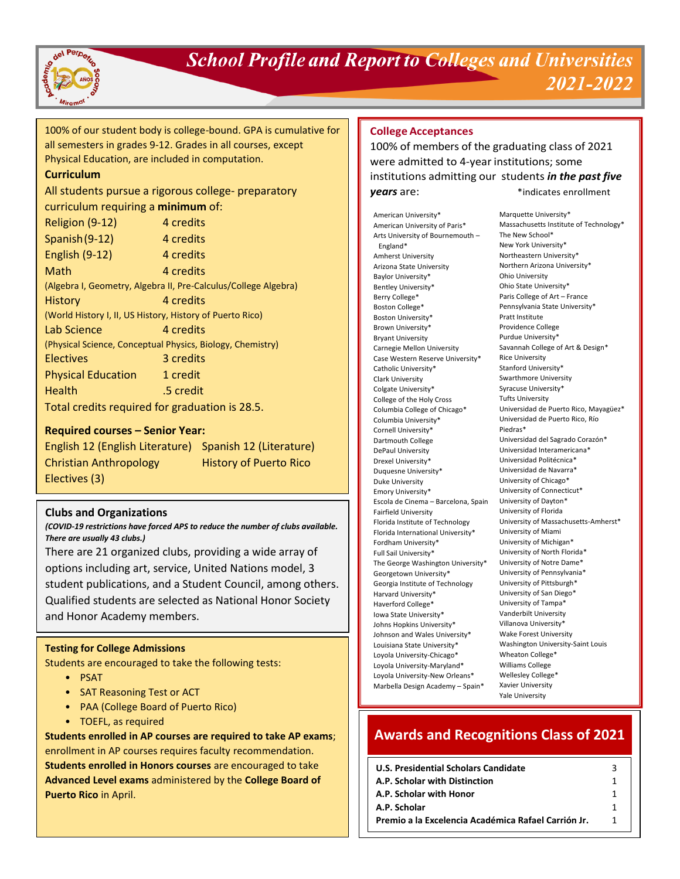

### **School Profile and Report to Colleges and Universities** 2021-2022

100% of our student body is college-bound. GPA is cumulative for all semesters in grades 9-12. Grades in all courses, except Physical Education, are included in computation.

#### **Curriculum**

#### All students pursue a rigorous college- preparatory curriculum requiring a **minimum** of:

| Religion (9-12)                                                 | 4 credits |  |  |  |
|-----------------------------------------------------------------|-----------|--|--|--|
| Spanish (9-12)                                                  | 4 credits |  |  |  |
| <b>English (9-12)</b>                                           | 4 credits |  |  |  |
| Math                                                            | 4 credits |  |  |  |
| (Algebra I, Geometry, Algebra II, Pre-Calculus/College Algebra) |           |  |  |  |
| History                                                         | 4 credits |  |  |  |
| (World History I, II, US History, History of Puerto Rico)       |           |  |  |  |
| Lab Science                                                     | 4 credits |  |  |  |
| (Physical Science, Conceptual Physics, Biology, Chemistry)      |           |  |  |  |
| <b>Electives</b>                                                | 3 credits |  |  |  |
| <b>Physical Education</b>                                       | 1 credit  |  |  |  |
| <b>Health</b>                                                   | .5 credit |  |  |  |
| Total credits required for graduation is 28.5.                  |           |  |  |  |

#### **Required courses – Senior Year:**

English 12 (English Literature) Spanish 12 (Literature) Christian Anthropology History of Puerto Rico Electives (3)

#### **Clubs and Organizations**

*(COVID-19 restrictions have forced APS to reduce the number of clubs available. There are usually 43 clubs.)*

There are 21 organized clubs, providing a wide array of options including art, service, United Nations model, 3 student publications, and a Student Council, among others. Qualified students are selected as National Honor Society and Honor Academy members.

#### **Testing for College Admissions**

Students are encouraged to take the following tests:

- PSAT
- SAT Reasoning Test or ACT
- PAA (College Board of Puerto Rico)
- TOEFL, as required

**Students enrolled in AP courses are required to take AP exams**; enrollment in AP courses requires faculty recommendation. **Students enrolled in Honors courses** are encouraged to take **Advanced Level exams** administered by the **College Board of Puerto Rico** in April.

#### **College Acceptances**

100% of members of the graduating class of 2021 were admitted to 4-year institutions; some institutions admitting our students *in the past five* **years** are:  $*$  indicates enrollment

American University\* American University of Paris\* Arts University of Bournemouth – England\* Amherst University Arizona State University Baylor University\* Bentley University\* Berry College\* Boston College\* Boston University\* Brown University\* Bryant University Carnegie Mellon University Case Western Reserve University\* Catholic University\* Clark University Colgate University\* College of the Holy Cross Columbia College of Chicago\* Columbia University\* Cornell University\* Dartmouth College DePaul University Drexel University\* Duquesne University\* Duke University Emory University\* Escola de Cinema – Barcelona, Spain Fairfield University Florida Institute of Technology Florida International University\* Fordham University\* Full Sail University\* The George Washington University\* Georgetown University\* Georgia Institute of Technology Harvard University\* Haverford College\* Iowa State University\* Johns Hopkins University\* Johnson and Wales University\* Louisiana State University\* Loyola University-Chicago\* Loyola University-Maryland\* Loyola University-New Orleans\* Marbella Design Academy – Spain\*

Marquette University\* Massachusetts Institute of Technology\* The New School\* New York University\* Northeastern University\* Northern Arizona University\* Ohio University Ohio State University\* Paris College of Art – France Pennsylvania State University\* Pratt Institute Providence College Purdue University\* Savannah College of Art & Design\* Rice University Stanford University\* Swarthmore University Syracuse University\* Tufts University Universidad de Puerto Rico, Mayagüez\* Universidad de Puerto Rico, Río Piedras\* Universidad del Sagrado Corazón\* Universidad Interamericana\* Universidad Politécnica\* Universidad de Navarra\* University of Chicago\* University of Connecticut\* University of Dayton\* University of Florida University of Massachusetts-Amherst\* University of Miami University of Michigan\* University of North Florida\* University of Notre Dame\* University of Pennsylvania\* University of Pittsburgh\* University of San Diego\* University of Tampa\* Vanderbilt University Villanova University\* Wake Forest University Washington University-Saint Louis Wheaton College\* Williams College Wellesley College\* Xavier University Yale University

### **Awards and Recognitions Class of 2021**

| <b>U.S. Presidential Scholars Candidate</b>         |  |
|-----------------------------------------------------|--|
| A.P. Scholar with Distinction                       |  |
| A.P. Scholar with Honor                             |  |
| A.P. Scholar                                        |  |
| Premio a la Excelencia Académica Rafael Carrión Jr. |  |